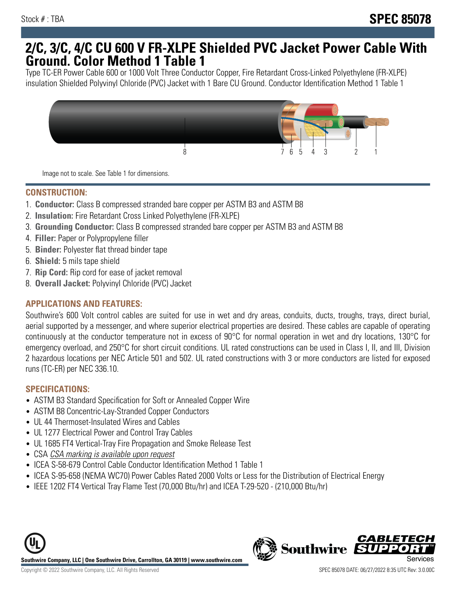## **2/C, 3/C, 4/C CU 600 V FR-XLPE Shielded PVC Jacket Power Cable With Ground. Color Method 1 Table 1**

Type TC-ER Power Cable 600 or 1000 Volt Three Conductor Copper, Fire Retardant Cross-Linked Polyethylene (FR-XLPE) insulation Shielded Polyvinyl Chloride (PVC) Jacket with 1 Bare CU Ground. Conductor Identification Method 1 Table 1



Image not to scale. See Table 1 for dimensions.

#### **CONSTRUCTION:**

- 1. **Conductor:** Class B compressed stranded bare copper per ASTM B3 and ASTM B8
- 2. **Insulation:** Fire Retardant Cross Linked Polyethylene (FR-XLPE)
- 3. **Grounding Conductor:** Class B compressed stranded bare copper per ASTM B3 and ASTM B8
- 4. **Filler:** Paper or Polypropylene filler
- 5. **Binder:** Polyester flat thread binder tape
- 6. **Shield:** 5 mils tape shield
- 7. **Rip Cord:** Rip cord for ease of jacket removal
- 8. **Overall Jacket:** Polyvinyl Chloride (PVC) Jacket

### **APPLICATIONS AND FEATURES:**

Southwire's 600 Volt control cables are suited for use in wet and dry areas, conduits, ducts, troughs, trays, direct burial, aerial supported by a messenger, and where superior electrical properties are desired. These cables are capable of operating continuously at the conductor temperature not in excess of 90°C for normal operation in wet and dry locations, 130°C for emergency overload, and 250°C for short circuit conditions. UL rated constructions can be used in Class I, II, and III, Division 2 hazardous locations per NEC Article 501 and 502. UL rated constructions with 3 or more conductors are listed for exposed runs (TC-ER) per NEC 336.10.

#### **SPECIFICATIONS:**

- ASTM B3 Standard Specification for Soft or Annealed Copper Wire
- ASTM B8 Concentric-Lay-Stranded Copper Conductors
- UL 44 Thermoset-Insulated Wires and Cables
- UL 1277 Electrical Power and Control Tray Cables
- UL 1685 FT4 Vertical-Tray Fire Propagation and Smoke Release Test
- CSA CSA marking is available upon request
- ICEA S-58-679 Control Cable Conductor Identification Method 1 Table 1
- ICEA S-95-658 (NEMA WC70) Power Cables Rated 2000 Volts or Less for the Distribution of Electrical Energy
- IEEE 1202 FT4 Vertical Tray Flame Test (70,000 Btu/hr) and ICEA T-29-520 (210,000 Btu/hr)



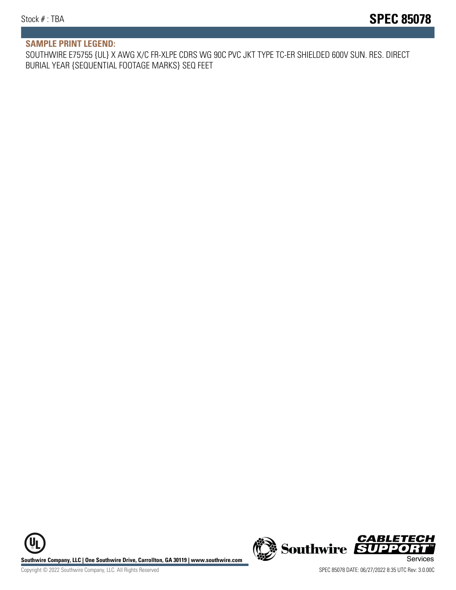#### **SAMPLE PRINT LEGEND:**

SOUTHWIRE E75755 {UL} X AWG X/C FR-XLPE CDRS WG 90C PVC JKT TYPE TC-ER SHIELDED 600V SUN. RES. DIRECT BURIAL YEAR {SEQUENTIAL FOOTAGE MARKS} SEQ FEET

UL **Southwire Company, LLC | One Southwire Drive, Carrollton, GA 30119 | www.southwire.com (New Southwire SUPPORTI**